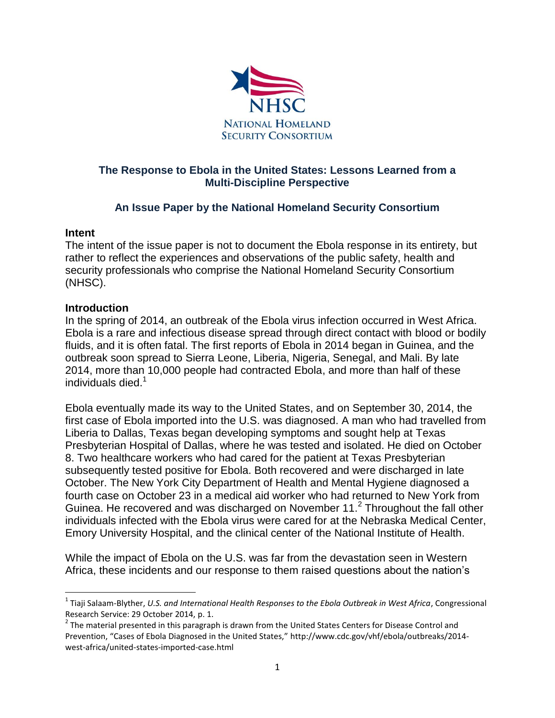

## **The Response to Ebola in the United States: Lessons Learned from a Multi-Discipline Perspective**

# **An Issue Paper by the National Homeland Security Consortium**

## **Intent**

l

The intent of the issue paper is not to document the Ebola response in its entirety, but rather to reflect the experiences and observations of the public safety, health and security professionals who comprise the National Homeland Security Consortium (NHSC).

## **Introduction**

In the spring of 2014, an outbreak of the Ebola virus infection occurred in West Africa. Ebola is a rare and infectious disease spread through direct contact with blood or bodily fluids, and it is often fatal. The first reports of Ebola in 2014 began in Guinea, and the outbreak soon spread to Sierra Leone, Liberia, Nigeria, Senegal, and Mali. By late 2014, more than 10,000 people had contracted Ebola, and more than half of these individuals died.<sup>1</sup>

Ebola eventually made its way to the United States, and on September 30, 2014, the first case of Ebola imported into the U.S. was diagnosed. A man who had travelled from Liberia to Dallas, Texas began developing symptoms and sought help at Texas Presbyterian Hospital of Dallas, where he was tested and isolated. He died on October 8. Two healthcare workers who had cared for the patient at Texas Presbyterian subsequently tested positive for Ebola. Both recovered and were discharged in late October. The New York City Department of Health and Mental Hygiene diagnosed a fourth case on October 23 in a medical aid worker who had returned to New York from Guinea. He recovered and was discharged on November 11. $<sup>2</sup>$  Throughout the fall other</sup> individuals infected with the Ebola virus were cared for at the Nebraska Medical Center, Emory University Hospital, and the clinical center of the National Institute of Health.

While the impact of Ebola on the U.S. was far from the devastation seen in Western Africa, these incidents and our response to them raised questions about the nation's

<sup>1</sup> Tiaji Salaam-Blyther, *U.S. and International Health Responses to the Ebola Outbreak in West Africa*, Congressional Research Service: 29 October 2014, p. 1.

 $2$  The material presented in this paragraph is drawn from the United States Centers for Disease Control and Prevention, "Cases of Ebola Diagnosed in the United States," http://www.cdc.gov/vhf/ebola/outbreaks/2014 west-africa/united-states-imported-case.html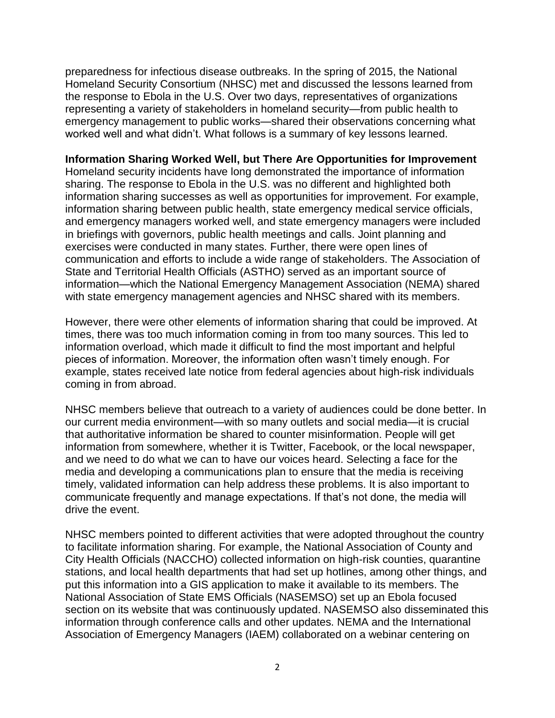preparedness for infectious disease outbreaks. In the spring of 2015, the National Homeland Security Consortium (NHSC) met and discussed the lessons learned from the response to Ebola in the U.S. Over two days, representatives of organizations representing a variety of stakeholders in homeland security—from public health to emergency management to public works—shared their observations concerning what worked well and what didn't. What follows is a summary of key lessons learned.

## **Information Sharing Worked Well, but There Are Opportunities for Improvement**

Homeland security incidents have long demonstrated the importance of information sharing. The response to Ebola in the U.S. was no different and highlighted both information sharing successes as well as opportunities for improvement. For example, information sharing between public health, state emergency medical service officials, and emergency managers worked well, and state emergency managers were included in briefings with governors, public health meetings and calls. Joint planning and exercises were conducted in many states. Further, there were open lines of communication and efforts to include a wide range of stakeholders. The Association of State and Territorial Health Officials (ASTHO) served as an important source of information—which the National Emergency Management Association (NEMA) shared with state emergency management agencies and NHSC shared with its members.

However, there were other elements of information sharing that could be improved. At times, there was too much information coming in from too many sources. This led to information overload, which made it difficult to find the most important and helpful pieces of information. Moreover, the information often wasn't timely enough. For example, states received late notice from federal agencies about high-risk individuals coming in from abroad.

NHSC members believe that outreach to a variety of audiences could be done better. In our current media environment—with so many outlets and social media—it is crucial that authoritative information be shared to counter misinformation. People will get information from somewhere, whether it is Twitter, Facebook, or the local newspaper, and we need to do what we can to have our voices heard. Selecting a face for the media and developing a communications plan to ensure that the media is receiving timely, validated information can help address these problems. It is also important to communicate frequently and manage expectations. If that's not done, the media will drive the event.

NHSC members pointed to different activities that were adopted throughout the country to facilitate information sharing. For example, the National Association of County and City Health Officials (NACCHO) collected information on high-risk counties, quarantine stations, and local health departments that had set up hotlines, among other things, and put this information into a GIS application to make it available to its members. The National Association of State EMS Officials (NASEMSO) set up an Ebola focused section on its website that was continuously updated. NASEMSO also disseminated this information through conference calls and other updates. NEMA and the International Association of Emergency Managers (IAEM) collaborated on a webinar centering on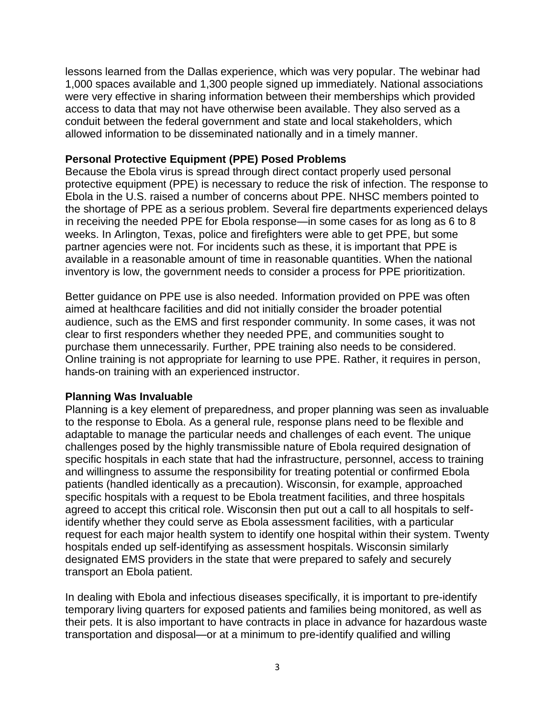lessons learned from the Dallas experience, which was very popular. The webinar had 1,000 spaces available and 1,300 people signed up immediately. National associations were very effective in sharing information between their memberships which provided access to data that may not have otherwise been available. They also served as a conduit between the federal government and state and local stakeholders, which allowed information to be disseminated nationally and in a timely manner.

### **Personal Protective Equipment (PPE) Posed Problems**

Because the Ebola virus is spread through direct contact properly used personal protective equipment (PPE) is necessary to reduce the risk of infection. The response to Ebola in the U.S. raised a number of concerns about PPE. NHSC members pointed to the shortage of PPE as a serious problem. Several fire departments experienced delays in receiving the needed PPE for Ebola response—in some cases for as long as 6 to 8 weeks. In Arlington, Texas, police and firefighters were able to get PPE, but some partner agencies were not. For incidents such as these, it is important that PPE is available in a reasonable amount of time in reasonable quantities. When the national inventory is low, the government needs to consider a process for PPE prioritization.

Better guidance on PPE use is also needed. Information provided on PPE was often aimed at healthcare facilities and did not initially consider the broader potential audience, such as the EMS and first responder community. In some cases, it was not clear to first responders whether they needed PPE, and communities sought to purchase them unnecessarily. Further, PPE training also needs to be considered. Online training is not appropriate for learning to use PPE. Rather, it requires in person, hands-on training with an experienced instructor.

#### **Planning Was Invaluable**

Planning is a key element of preparedness, and proper planning was seen as invaluable to the response to Ebola. As a general rule, response plans need to be flexible and adaptable to manage the particular needs and challenges of each event. The unique challenges posed by the highly transmissible nature of Ebola required designation of specific hospitals in each state that had the infrastructure, personnel, access to training and willingness to assume the responsibility for treating potential or confirmed Ebola patients (handled identically as a precaution). Wisconsin, for example, approached specific hospitals with a request to be Ebola treatment facilities, and three hospitals agreed to accept this critical role. Wisconsin then put out a call to all hospitals to selfidentify whether they could serve as Ebola assessment facilities, with a particular request for each major health system to identify one hospital within their system. Twenty hospitals ended up self-identifying as assessment hospitals. Wisconsin similarly designated EMS providers in the state that were prepared to safely and securely transport an Ebola patient.

In dealing with Ebola and infectious diseases specifically, it is important to pre-identify temporary living quarters for exposed patients and families being monitored, as well as their pets. It is also important to have contracts in place in advance for hazardous waste transportation and disposal—or at a minimum to pre-identify qualified and willing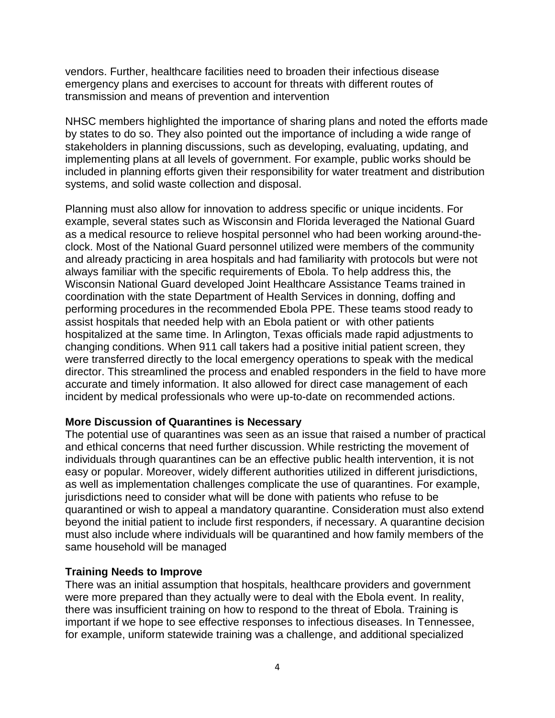vendors. Further, healthcare facilities need to broaden their infectious disease emergency plans and exercises to account for threats with different routes of transmission and means of prevention and intervention

NHSC members highlighted the importance of sharing plans and noted the efforts made by states to do so. They also pointed out the importance of including a wide range of stakeholders in planning discussions, such as developing, evaluating, updating, and implementing plans at all levels of government. For example, public works should be included in planning efforts given their responsibility for water treatment and distribution systems, and solid waste collection and disposal.

Planning must also allow for innovation to address specific or unique incidents. For example, several states such as Wisconsin and Florida leveraged the National Guard as a medical resource to relieve hospital personnel who had been working around-theclock. Most of the National Guard personnel utilized were members of the community and already practicing in area hospitals and had familiarity with protocols but were not always familiar with the specific requirements of Ebola. To help address this, the Wisconsin National Guard developed Joint Healthcare Assistance Teams trained in coordination with the state Department of Health Services in donning, doffing and performing procedures in the recommended Ebola PPE. These teams stood ready to assist hospitals that needed help with an Ebola patient or with other patients hospitalized at the same time. In Arlington, Texas officials made rapid adjustments to changing conditions. When 911 call takers had a positive initial patient screen, they were transferred directly to the local emergency operations to speak with the medical director. This streamlined the process and enabled responders in the field to have more accurate and timely information. It also allowed for direct case management of each incident by medical professionals who were up-to-date on recommended actions.

## **More Discussion of Quarantines is Necessary**

The potential use of quarantines was seen as an issue that raised a number of practical and ethical concerns that need further discussion. While restricting the movement of individuals through quarantines can be an effective public health intervention, it is not easy or popular. Moreover, widely different authorities utilized in different jurisdictions, as well as implementation challenges complicate the use of quarantines. For example, jurisdictions need to consider what will be done with patients who refuse to be quarantined or wish to appeal a mandatory quarantine. Consideration must also extend beyond the initial patient to include first responders, if necessary. A quarantine decision must also include where individuals will be quarantined and how family members of the same household will be managed

## **Training Needs to Improve**

There was an initial assumption that hospitals, healthcare providers and government were more prepared than they actually were to deal with the Ebola event. In reality, there was insufficient training on how to respond to the threat of Ebola. Training is important if we hope to see effective responses to infectious diseases. In Tennessee, for example, uniform statewide training was a challenge, and additional specialized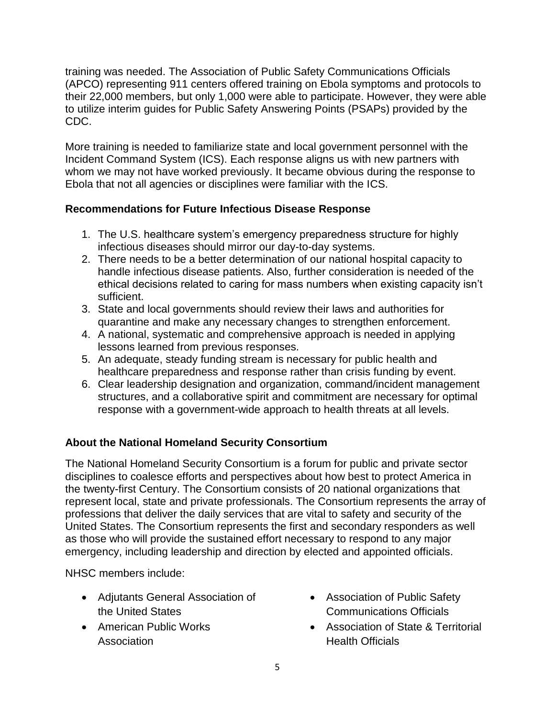training was needed. The Association of Public Safety Communications Officials (APCO) representing 911 centers offered training on Ebola symptoms and protocols to their 22,000 members, but only 1,000 were able to participate. However, they were able to utilize interim guides for Public Safety Answering Points (PSAPs) provided by the CDC.

More training is needed to familiarize state and local government personnel with the Incident Command System (ICS). Each response aligns us with new partners with whom we may not have worked previously. It became obvious during the response to Ebola that not all agencies or disciplines were familiar with the ICS.

## **Recommendations for Future Infectious Disease Response**

- 1. The U.S. healthcare system's emergency preparedness structure for highly infectious diseases should mirror our day-to-day systems.
- 2. There needs to be a better determination of our national hospital capacity to handle infectious disease patients. Also, further consideration is needed of the ethical decisions related to caring for mass numbers when existing capacity isn't sufficient.
- 3. State and local governments should review their laws and authorities for quarantine and make any necessary changes to strengthen enforcement.
- 4. A national, systematic and comprehensive approach is needed in applying lessons learned from previous responses.
- 5. An adequate, steady funding stream is necessary for public health and healthcare preparedness and response rather than crisis funding by event.
- 6. Clear leadership designation and organization, command/incident management structures, and a collaborative spirit and commitment are necessary for optimal response with a government-wide approach to health threats at all levels.

# **About the National Homeland Security Consortium**

The National Homeland Security Consortium is a forum for public and private sector disciplines to coalesce efforts and perspectives about how best to protect America in the twenty-first Century. The Consortium consists of 20 national organizations that represent local, state and private professionals. The Consortium represents the array of professions that deliver the daily services that are vital to safety and security of the United States. The Consortium represents the first and secondary responders as well as those who will provide the sustained effort necessary to respond to any major emergency, including leadership and direction by elected and appointed officials.

NHSC members include:

- Adjutants General Association of the United States
- American Public Works Association
- Association of Public Safety Communications Officials
- Association of State & Territorial Health Officials